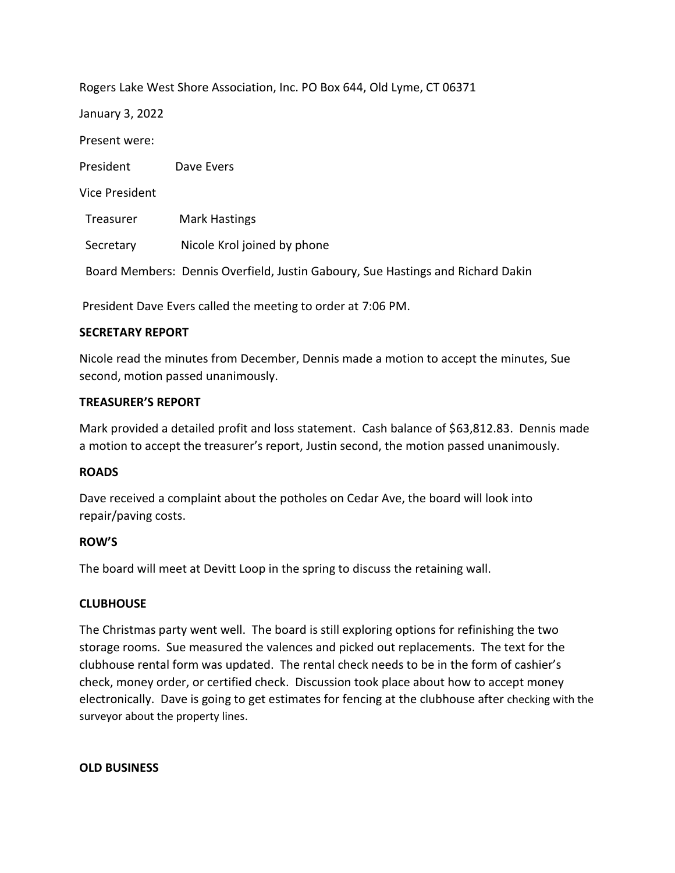| Rogers Lake West Shore Association, Inc. PO Box 644, Old Lyme, CT 06371 |                                                                                 |
|-------------------------------------------------------------------------|---------------------------------------------------------------------------------|
| January 3, 2022                                                         |                                                                                 |
| Present were:                                                           |                                                                                 |
| President                                                               | Dave Evers                                                                      |
| <b>Vice President</b>                                                   |                                                                                 |
| Treasurer                                                               | <b>Mark Hastings</b>                                                            |
| Secretary                                                               | Nicole Krol joined by phone                                                     |
|                                                                         | Board Members: Dennis Overfield, Justin Gaboury, Sue Hastings and Richard Dakin |
|                                                                         |                                                                                 |

President Dave Evers called the meeting to order at 7:06 PM.

### **SECRETARY REPORT**

Nicole read the minutes from December, Dennis made a motion to accept the minutes, Sue second, motion passed unanimously.

### **TREASURER'S REPORT**

Mark provided a detailed profit and loss statement. Cash balance of \$63,812.83. Dennis made a motion to accept the treasurer's report, Justin second, the motion passed unanimously.

# **ROADS**

Dave received a complaint about the potholes on Cedar Ave, the board will look into repair/paving costs.

# **ROW'S**

The board will meet at Devitt Loop in the spring to discuss the retaining wall.

# **CLUBHOUSE**

The Christmas party went well. The board is still exploring options for refinishing the two storage rooms. Sue measured the valences and picked out replacements. The text for the clubhouse rental form was updated. The rental check needs to be in the form of cashier's check, money order, or certified check. Discussion took place about how to accept money electronically. Dave is going to get estimates for fencing at the clubhouse after checking with the surveyor about the property lines.

#### **OLD BUSINESS**